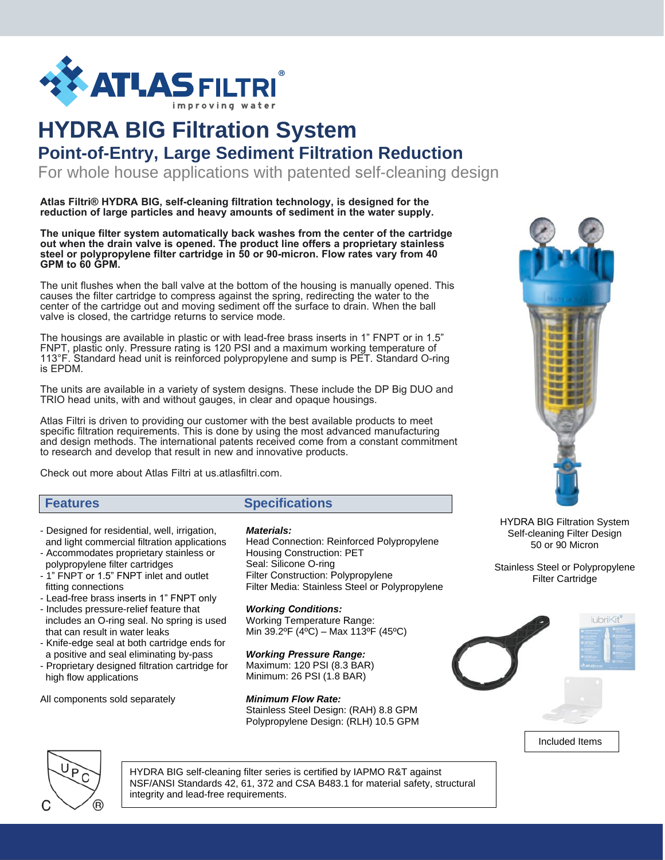

# **HYDRA BIG Filtration System Point-of-Entry, Large Sediment Filtration Reduction**

For whole house applications with patented self-cleaning design

**Atlas Filtri® HYDRA BIG, self-cleaning filtration technology, is designed for the reduction of large particles and heavy amounts of sediment in the water supply.** 

**The unique filter system automatically back washes from the center of the cartridge out when the drain valve is opened. The product line offers a proprietary stainless steel or polypropylene filter cartridge in 50 or 90-micron. Flow rates vary from 40 GPM to 60 GPM.** 

The unit flushes when the ball valve at the bottom of the housing is manually opened. This causes the filter cartridge to compress against the spring, redirecting the water to the center of the cartridge out and moving sediment off the surface to drain. When the ball valve is closed, the cartridge returns to service mode.

The housings are available in plastic or with lead-free brass inserts in 1" FNPT or in 1.5" FNPT, plastic only. Pressure rating is 120 PSI and a maximum working temperature of 113°F. Standard head unit is reinforced polypropylene and sump is PET. Standard O-ring is EPDM.

The units are available in a variety of system designs. These include the DP Big DUO and TRIO head units, with and without gauges, in clear and opaque housings.

Atlas Filtri is driven to providing our customer with the best available products to meet specific filtration requirements. This is done by using the most advanced manufacturing and design methods. The international patents received come from a constant commitment to research and develop that result in new and innovative products.

Check out more about Atlas Filt[ri at us.atlasfiltri.com](http://www.atlasfiltri.com/).

# **Features Specifications**

- Designed for residential, well, irrigation, and light commercial filtration applications
- Accommodates proprietary stainless or polypropylene filter cartridges
- 1" FNPT or 1.5" FNPT inlet and outlet fitting connections
- Lead-free brass inserts in 1" FNPT only
- Includes pressure-relief feature that includes an O-ring seal. No spring is used that can result in water leaks
- Knife-edge seal at both cartridge ends for a positive and seal eliminating by-pass
- Proprietary designed filtration cartridge for high flow applications

All components sold separately

### *Materials:*

Head Connection: Reinforced Polypropylene Housing Construction: PET Seal: Silicone O-ring Filter Construction: Polypropylene Filter Media: Stainless Steel or Polypropylene

*Working Conditions:* Working Temperature Range: Min 39.2ºF (4ºC) – Max 113ºF (45ºC)

*Working Pressure Range:* Maximum: 120 PSI (8.3 BAR) Minimum: 26 PSI (1.8 BAR)

*Minimum Flow Rate:*  Stainless Steel Design: (RAH) 8.8 GPM Polypropylene Design: (RLH) 10.5 GPM



HYDRA BIG Filtration System Self-cleaning Filter Design 50 or 90 Micron

Stainless Steel or Polypropylene Filter Cartridge





HYDRA BIG self-cleaning filter series is certified by IAPMO R&T against NSF/ANSI Standards 42, 61, 372 and CSA B483.1 for material safety, structural integrity and lead-free requirements.